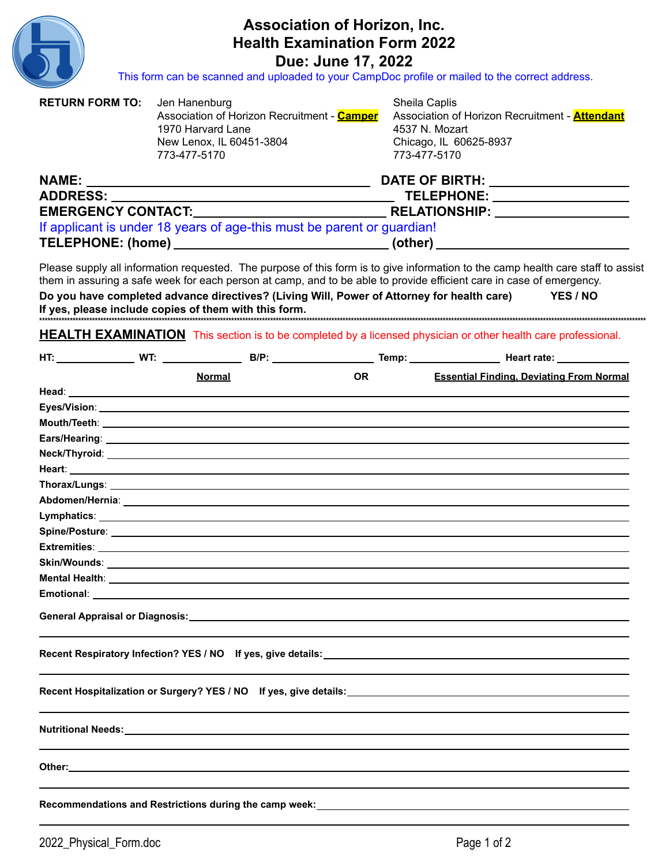

## Association of Horizon, Inc. **Health Examination Form 2022**

**Due: June 17, 2022**<br>This form can be scanned and uploaded to your CampDoc profile or mailed to the correct address.

| <b>RETURN FORM TO:</b> | Jen Hanenburg<br>1970 Harvard Lane<br>New Lenox, IL 60451-3804<br>773-477-5170 | Association of Horizon Recruitment - Camper                                                                                                                                                                                                                                                                                                            |                                 | Sheila Caplis<br>Association of Horizon Recruitment - <b>Attendant</b><br>4537 N. Mozart<br>Chicago, IL 60625-8937<br>773-477-5170 |          |  |  |
|------------------------|--------------------------------------------------------------------------------|--------------------------------------------------------------------------------------------------------------------------------------------------------------------------------------------------------------------------------------------------------------------------------------------------------------------------------------------------------|---------------------------------|------------------------------------------------------------------------------------------------------------------------------------|----------|--|--|
|                        |                                                                                |                                                                                                                                                                                                                                                                                                                                                        |                                 |                                                                                                                                    |          |  |  |
| ADDRESS: _________     |                                                                                |                                                                                                                                                                                                                                                                                                                                                        | TELEPHONE: ____________________ |                                                                                                                                    |          |  |  |
|                        |                                                                                |                                                                                                                                                                                                                                                                                                                                                        |                                 | RELATIONSHIP: __________________                                                                                                   |          |  |  |
|                        |                                                                                | If applicant is under 18 years of age-this must be parent or guardian!                                                                                                                                                                                                                                                                                 |                                 |                                                                                                                                    |          |  |  |
|                        |                                                                                | TELEPHONE: (home) _________________________________(other) _____________________                                                                                                                                                                                                                                                                       |                                 |                                                                                                                                    |          |  |  |
|                        |                                                                                | Please supply all information requested. The purpose of this form is to give information to the camp health care staff to assist<br>them in assuring a safe week for each person at camp, and to be able to provide efficient care in case of emergency.<br>Do you have completed advance directives? (Living Will, Power of Attorney for health care) |                                 |                                                                                                                                    | YES / NO |  |  |
|                        |                                                                                | <b>HEALTH EXAMINATION</b> This section is to be completed by a licensed physician or other health care professional.                                                                                                                                                                                                                                   |                                 |                                                                                                                                    |          |  |  |
|                        |                                                                                |                                                                                                                                                                                                                                                                                                                                                        |                                 |                                                                                                                                    |          |  |  |
|                        | <b>Normal</b>                                                                  | <b>OR</b>                                                                                                                                                                                                                                                                                                                                              |                                 | <b>Essential Finding, Deviating From Normal</b>                                                                                    |          |  |  |
|                        |                                                                                |                                                                                                                                                                                                                                                                                                                                                        |                                 |                                                                                                                                    |          |  |  |
|                        |                                                                                |                                                                                                                                                                                                                                                                                                                                                        |                                 |                                                                                                                                    |          |  |  |
|                        |                                                                                |                                                                                                                                                                                                                                                                                                                                                        |                                 |                                                                                                                                    |          |  |  |
|                        |                                                                                |                                                                                                                                                                                                                                                                                                                                                        |                                 |                                                                                                                                    |          |  |  |
|                        |                                                                                |                                                                                                                                                                                                                                                                                                                                                        |                                 |                                                                                                                                    |          |  |  |
|                        |                                                                                |                                                                                                                                                                                                                                                                                                                                                        |                                 |                                                                                                                                    |          |  |  |
|                        |                                                                                |                                                                                                                                                                                                                                                                                                                                                        |                                 |                                                                                                                                    |          |  |  |
|                        |                                                                                |                                                                                                                                                                                                                                                                                                                                                        |                                 |                                                                                                                                    |          |  |  |
|                        |                                                                                |                                                                                                                                                                                                                                                                                                                                                        |                                 |                                                                                                                                    |          |  |  |
|                        |                                                                                |                                                                                                                                                                                                                                                                                                                                                        |                                 |                                                                                                                                    |          |  |  |
|                        |                                                                                |                                                                                                                                                                                                                                                                                                                                                        |                                 |                                                                                                                                    |          |  |  |
| <b>Mental Health:</b>  |                                                                                |                                                                                                                                                                                                                                                                                                                                                        |                                 |                                                                                                                                    |          |  |  |
|                        |                                                                                | <b>Emotional:</b> Emotional: Emotional: Emotional: Emotional: Emotional: Emotional: Emotional: Emotional: Emotional: Emotional: Emotional: Emotional: Emotional: Emotional: Emotional: Emotional: Emotional: Emotional: Emotional:                                                                                                                     |                                 |                                                                                                                                    |          |  |  |
|                        |                                                                                |                                                                                                                                                                                                                                                                                                                                                        |                                 |                                                                                                                                    |          |  |  |
|                        |                                                                                |                                                                                                                                                                                                                                                                                                                                                        |                                 |                                                                                                                                    |          |  |  |
|                        |                                                                                |                                                                                                                                                                                                                                                                                                                                                        |                                 |                                                                                                                                    |          |  |  |
|                        |                                                                                |                                                                                                                                                                                                                                                                                                                                                        |                                 |                                                                                                                                    |          |  |  |
|                        |                                                                                |                                                                                                                                                                                                                                                                                                                                                        |                                 |                                                                                                                                    |          |  |  |
|                        |                                                                                |                                                                                                                                                                                                                                                                                                                                                        |                                 |                                                                                                                                    |          |  |  |